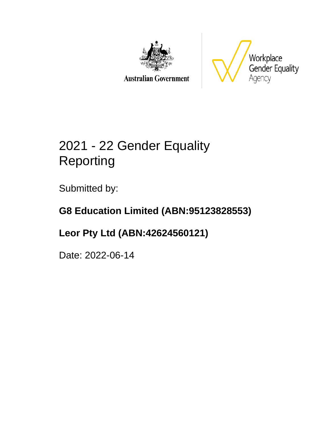

**Australian Government** 



# 2021 - 22 Gender Equality Reporting

Submitted by:

## **G8 Education Limited (ABN:95123828553)**

## **Leor Pty Ltd (ABN:42624560121)**

Date: 2022-06-14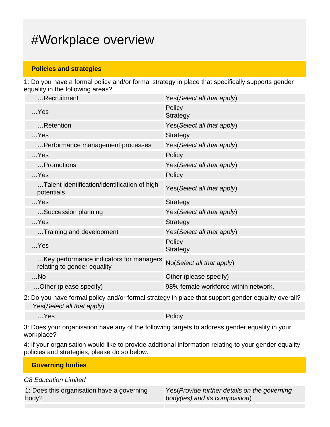## #Workplace overview

### **Policies and strategies**

1: Do you have a formal policy and/or formal strategy in place that specifically supports gender equality in the following areas?

| Recruitment                                                            | Yes (Select all that apply)          |
|------------------------------------------------------------------------|--------------------------------------|
| $$ Yes                                                                 | Policy<br><b>Strategy</b>            |
| Retention                                                              | Yes(Select all that apply)           |
| $$ Yes                                                                 | <b>Strategy</b>                      |
| Performance management processes                                       | Yes(Select all that apply)           |
| $$ Yes                                                                 | Policy                               |
| Promotions                                                             | Yes(Select all that apply)           |
| $$ Yes                                                                 | Policy                               |
| Talent identification/identification of high<br>potentials             | Yes(Select all that apply)           |
| $$ Yes                                                                 | <b>Strategy</b>                      |
| Succession planning                                                    | Yes(Select all that apply)           |
| $$ Yes                                                                 | <b>Strategy</b>                      |
| Training and development                                               | Yes(Select all that apply)           |
| $$ Yes                                                                 | Policy<br><b>Strategy</b>            |
| Key performance indicators for managers<br>relating to gender equality | No(Select all that apply)            |
| $$ No                                                                  | Other (please specify)               |
| Other (please specify)                                                 | 98% female workforce within network. |
|                                                                        |                                      |

2: Do you have formal policy and/or formal strategy in place that support gender equality overall? Yes(Select all that apply)

…Yes Policy

3: Does your organisation have any of the following targets to address gender equality in your workplace?

4: If your organisation would like to provide additional information relating to your gender equality policies and strategies, please do so below.

| <b>Governing bodies</b> |  |  |
|-------------------------|--|--|
|                         |  |  |

G8 Education Limited

|       | 1: Does this organisation have a governing |  |
|-------|--------------------------------------------|--|
| body? |                                            |  |

Yes(Provide further details on the governing body(ies) and its composition)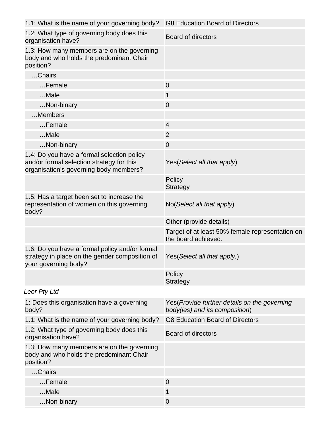| 1.1: What is the name of your governing body?                                                                                     | <b>G8 Education Board of Directors</b>                                          |
|-----------------------------------------------------------------------------------------------------------------------------------|---------------------------------------------------------------------------------|
| 1.2: What type of governing body does this<br>organisation have?                                                                  | <b>Board of directors</b>                                                       |
| 1.3: How many members are on the governing<br>body and who holds the predominant Chair<br>position?                               |                                                                                 |
| Chairs                                                                                                                            |                                                                                 |
| Female                                                                                                                            | $\overline{0}$                                                                  |
| Male                                                                                                                              | 1                                                                               |
| Non-binary                                                                                                                        | $\overline{0}$                                                                  |
| Members                                                                                                                           |                                                                                 |
| Female                                                                                                                            | $\overline{4}$                                                                  |
| Male                                                                                                                              | $\overline{2}$                                                                  |
| Non-binary                                                                                                                        | $\mathbf 0$                                                                     |
| 1.4: Do you have a formal selection policy<br>and/or formal selection strategy for this<br>organisation's governing body members? | Yes (Select all that apply)                                                     |
|                                                                                                                                   | Policy<br><b>Strategy</b>                                                       |
| 1.5: Has a target been set to increase the<br>representation of women on this governing<br>body?                                  | No(Select all that apply)                                                       |
|                                                                                                                                   | Other (provide details)                                                         |
|                                                                                                                                   | Target of at least 50% female representation on<br>the board achieved.          |
| 1.6: Do you have a formal policy and/or formal<br>strategy in place on the gender composition of<br>your governing body?          | Yes(Select all that apply.)                                                     |
|                                                                                                                                   | Policy<br><b>Strategy</b>                                                       |
| Leor Pty Ltd                                                                                                                      |                                                                                 |
| 1: Does this organisation have a governing<br>body?                                                                               | Yes (Provide further details on the governing<br>body(ies) and its composition) |
| 1.1: What is the name of your governing body?                                                                                     | <b>G8 Education Board of Directors</b>                                          |
| 1.2: What type of governing body does this<br>organisation have?                                                                  | <b>Board of directors</b>                                                       |
| 1.3: How many members are on the governing<br>body and who holds the predominant Chair<br>position?                               |                                                                                 |
| Chairs                                                                                                                            |                                                                                 |
| Female                                                                                                                            | $\overline{0}$                                                                  |
| Male                                                                                                                              | 1                                                                               |
| Non-binary                                                                                                                        | $\overline{0}$                                                                  |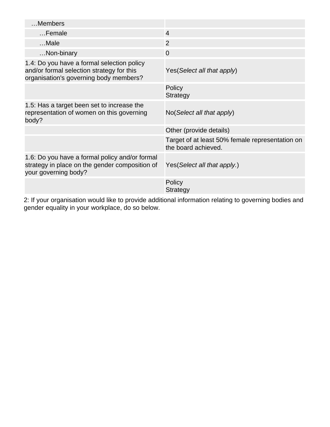| Members                                                                                                                           |                                                                        |
|-----------------------------------------------------------------------------------------------------------------------------------|------------------------------------------------------------------------|
| Female                                                                                                                            | $\overline{4}$                                                         |
| $$ Male                                                                                                                           | 2                                                                      |
| Non-binary                                                                                                                        | $\overline{0}$                                                         |
| 1.4: Do you have a formal selection policy<br>and/or formal selection strategy for this<br>organisation's governing body members? | Yes (Select all that apply)                                            |
|                                                                                                                                   | Policy<br><b>Strategy</b>                                              |
| 1.5: Has a target been set to increase the<br>representation of women on this governing<br>body?                                  | No(Select all that apply)                                              |
|                                                                                                                                   | Other (provide details)                                                |
|                                                                                                                                   | Target of at least 50% female representation on<br>the board achieved. |
| 1.6: Do you have a formal policy and/or formal<br>strategy in place on the gender composition of<br>your governing body?          | Yes (Select all that apply.)                                           |
|                                                                                                                                   | Policy<br><b>Strategy</b>                                              |

2: If your organisation would like to provide additional information relating to governing bodies and gender equality in your workplace, do so below.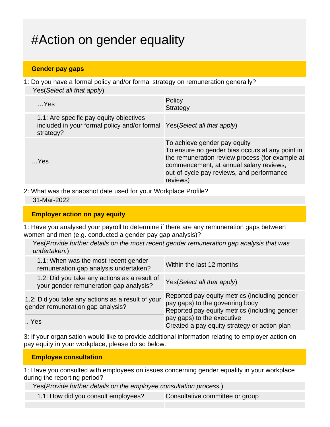## #Action on gender equality

### **Gender pay gaps**

1: Do you have a formal policy and/or formal strategy on remuneration generally? Yes(Select all that apply)

| $$ Yes                                                                                                                          | Policy<br>Strategy                                                                                                                                                                                                                     |
|---------------------------------------------------------------------------------------------------------------------------------|----------------------------------------------------------------------------------------------------------------------------------------------------------------------------------------------------------------------------------------|
| 1.1: Are specific pay equity objectives<br>included in your formal policy and/or formal Yes(Select all that apply)<br>strategy? |                                                                                                                                                                                                                                        |
| Yes                                                                                                                             | To achieve gender pay equity<br>To ensure no gender bias occurs at any point in<br>the remuneration review process (for example at<br>commencement, at annual salary reviews,<br>out-of-cycle pay reviews, and performance<br>reviews) |

2: What was the snapshot date used for your Workplace Profile?

#### 31-Mar-2022

#### **Employer action on pay equity**

1: Have you analysed your payroll to determine if there are any remuneration gaps between women and men (e.g. conducted a gender pay gap analysis)?

Yes(Provide further details on the most recent gender remuneration gap analysis that was undertaken.)

| 1.1: When was the most recent gender<br>remuneration gap analysis undertaken?          | Within the last 12 months                                                                                                         |
|----------------------------------------------------------------------------------------|-----------------------------------------------------------------------------------------------------------------------------------|
| 1.2: Did you take any actions as a result of<br>your gender remuneration gap analysis? | Yes (Select all that apply)                                                                                                       |
| 1.2: Did you take any actions as a result of your<br>gender remuneration gap analysis? | Reported pay equity metrics (including gender<br>pay gaps) to the governing body<br>Reported pay equity metrics (including gender |
| Yes                                                                                    | pay gaps) to the executive<br>Created a pay equity strategy or action plan                                                        |

3: If your organisation would like to provide additional information relating to employer action on pay equity in your workplace, please do so below.

#### **Employee consultation**

1: Have you consulted with employees on issues concerning gender equality in your workplace during the reporting period?

Yes(Provide further details on the employee consultation process.)

1.1: How did you consult employees? Consultative committee or group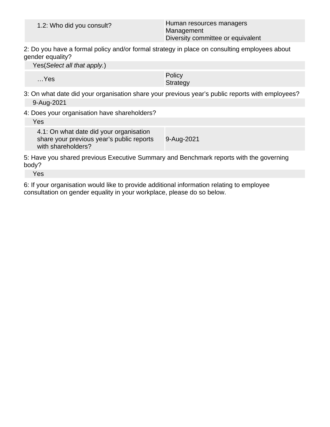| 1.2: Who did you consult? | Human resources managers<br>Management<br>Diversity committee or equivalent |
|---------------------------|-----------------------------------------------------------------------------|
|                           |                                                                             |

2: Do you have a formal policy and/or formal strategy in place on consulting employees about gender equality?

Yes(Select all that apply.)

…Yes Policy Policy Product in the Policy Policy Product in the Policy Product in the Policy Product in the Policy Product in the Policy Product in the Policy Product in the Policy Product in the Policy Product in the Polic **Strategy** 

- 3: On what date did your organisation share your previous year's public reports with employees? 9-Aug-2021
- 4: Does your organisation have shareholders?

Yes

4.1: On what date did your organisation share your previous year's public reports with shareholders? 9-Aug-2021

5: Have you shared previous Executive Summary and Benchmark reports with the governing body?

Yes

6: If your organisation would like to provide additional information relating to employee consultation on gender equality in your workplace, please do so below.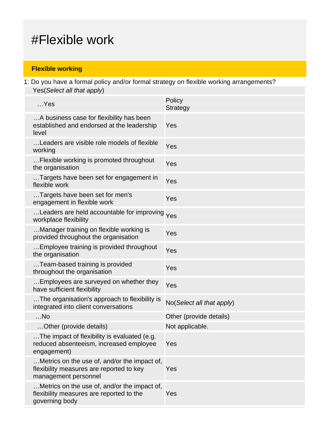## #Flexible work

### **Flexible working**

1: Do you have a formal policy and/or formal strategy on flexible working arrangements? Yes(Select all that apply)

| $$ Yes                                                                                                           | Policy<br><b>Strategy</b> |
|------------------------------------------------------------------------------------------------------------------|---------------------------|
| A business case for flexibility has been<br>established and endorsed at the leadership<br>level                  | Yes                       |
| Leaders are visible role models of flexible<br>working                                                           | Yes                       |
| Flexible working is promoted throughout<br>the organisation                                                      | Yes                       |
| Targets have been set for engagement in<br>flexible work                                                         | Yes                       |
| Targets have been set for men's<br>engagement in flexible work                                                   | Yes                       |
| Leaders are held accountable for improving Yes<br>workplace flexibility                                          |                           |
| Manager training on flexible working is<br>provided throughout the organisation                                  | Yes                       |
| Employee training is provided throughout<br>the organisation                                                     | Yes                       |
| Team-based training is provided<br>throughout the organisation                                                   | Yes                       |
| Employees are surveyed on whether they<br>have sufficient flexibility                                            | Yes                       |
| The organisation's approach to flexibility is<br>integrated into client conversations                            | No(Select all that apply) |
| $$ No                                                                                                            | Other (provide details)   |
| Other (provide details)                                                                                          | Not applicable.           |
| The impact of flexibility is evaluated (e.g.<br>reduced absenteeism, increased employee<br>engagement)           | Yes                       |
| Metrics on the use of, and/or the impact of,<br>flexibility measures are reported to key<br>management personnel | Yes                       |
| Metrics on the use of, and/or the impact of,<br>flexibility measures are reported to the<br>governing body       | Yes                       |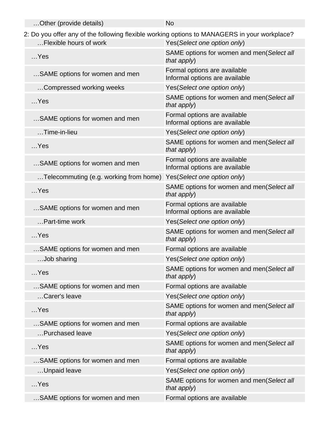| Other (provide details)                                                                      | <b>No</b>                                                      |  |
|----------------------------------------------------------------------------------------------|----------------------------------------------------------------|--|
| 2: Do you offer any of the following flexible working options to MANAGERS in your workplace? |                                                                |  |
| Flexible hours of work                                                                       | Yes(Select one option only)                                    |  |
| $$ Yes                                                                                       | SAME options for women and men(Select all<br>that apply)       |  |
| SAME options for women and men                                                               | Formal options are available<br>Informal options are available |  |
| Compressed working weeks                                                                     | Yes(Select one option only)                                    |  |
| $$ Yes                                                                                       | SAME options for women and men(Select all<br>that apply)       |  |
| SAME options for women and men                                                               | Formal options are available<br>Informal options are available |  |
| Time-in-lieu                                                                                 | Yes(Select one option only)                                    |  |
| $$ Yes                                                                                       | SAME options for women and men(Select all<br>that apply)       |  |
| SAME options for women and men                                                               | Formal options are available<br>Informal options are available |  |
| Telecommuting (e.g. working from home)                                                       | Yes(Select one option only)                                    |  |
| $$ Yes                                                                                       | SAME options for women and men(Select all<br>that apply)       |  |
| SAME options for women and men                                                               | Formal options are available<br>Informal options are available |  |
| Part-time work                                                                               | Yes(Select one option only)                                    |  |
| $$ Yes                                                                                       | SAME options for women and men(Select all<br>that apply)       |  |
| SAME options for women and men                                                               | Formal options are available                                   |  |
| .Job sharing                                                                                 | Yes(Select one option only)                                    |  |
| $$ Yes                                                                                       | SAME options for women and men(Select all<br>that apply)       |  |
| SAME options for women and men                                                               | Formal options are available                                   |  |
| Carer's leave                                                                                | Yes(Select one option only)                                    |  |
| $$ Yes                                                                                       | SAME options for women and men(Select all<br>that apply)       |  |
| SAME options for women and men                                                               | Formal options are available                                   |  |
| Purchased leave                                                                              | Yes(Select one option only)                                    |  |
| $$ Yes                                                                                       | SAME options for women and men(Select all<br>that apply)       |  |
| SAME options for women and men                                                               | Formal options are available                                   |  |
| Unpaid leave                                                                                 | Yes(Select one option only)                                    |  |
| $$ Yes                                                                                       | SAME options for women and men(Select all<br>that apply)       |  |
| SAME options for women and men                                                               | Formal options are available                                   |  |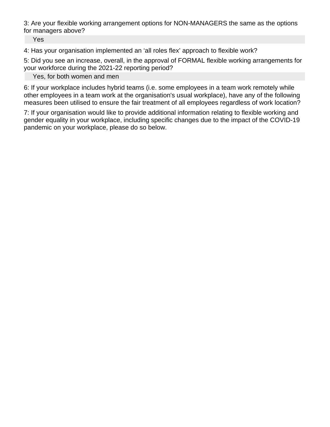3: Are your flexible working arrangement options for NON-MANAGERS the same as the options for managers above?

Yes

4: Has your organisation implemented an 'all roles flex' approach to flexible work?

5: Did you see an increase, overall, in the approval of FORMAL flexible working arrangements for your workforce during the 2021-22 reporting period?

Yes, for both women and men

6: If your workplace includes hybrid teams (i.e. some employees in a team work remotely while other employees in a team work at the organisation's usual workplace), have any of the following measures been utilised to ensure the fair treatment of all employees regardless of work location?

7: If your organisation would like to provide additional information relating to flexible working and gender equality in your workplace, including specific changes due to the impact of the COVID-19 pandemic on your workplace, please do so below.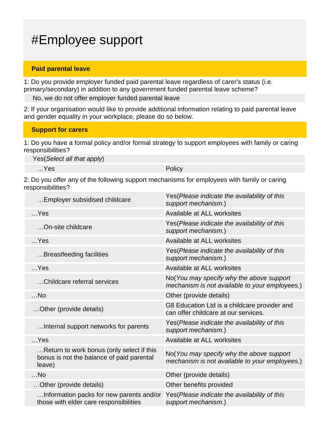## #Employee support

#### **Paid parental leave**

1: Do you provide employer funded paid parental leave regardless of carer's status (i.e. primary/secondary) in addition to any government funded parental leave scheme?

No, we do not offer employer funded parental leave

2: If your organisation would like to provide additional information relating to paid parental leave and gender equality in your workplace, please do so below.

#### **Support for carers**

1: Do you have a formal policy and/or formal strategy to support employees with family or caring responsibilities?

Yes(Select all that apply)

…Yes Policy

2: Do you offer any of the following support mechanisms for employees with family or caring responsibilities?

| Employer subsidised childcare                                                                    | Yes (Please indicate the availability of this<br>support mechanism.)                       |
|--------------------------------------------------------------------------------------------------|--------------------------------------------------------------------------------------------|
| $$ Yes                                                                                           | Available at ALL worksites                                                                 |
| On-site childcare                                                                                | Yes(Please indicate the availability of this<br>support mechanism.)                        |
| $$ Yes                                                                                           | Available at ALL worksites                                                                 |
| Breastfeeding facilities                                                                         | Yes(Please indicate the availability of this<br>support mechanism.)                        |
| $$ Yes                                                                                           | Available at ALL worksites                                                                 |
| Childcare referral services                                                                      | No(You may specify why the above support<br>mechanism is not available to your employees.) |
| $$ No                                                                                            | Other (provide details)                                                                    |
| Other (provide details)                                                                          | G8 Education Ltd is a childcare provider and<br>can offer childcare at our services.       |
| Internal support networks for parents                                                            | Yes(Please indicate the availability of this<br>support mechanism.)                        |
| $$ Yes                                                                                           | Available at ALL worksites                                                                 |
| Return to work bonus (only select if this<br>bonus is not the balance of paid parental<br>leave) | No(You may specify why the above support<br>mechanism is not available to your employees.) |
| $$ No                                                                                            | Other (provide details)                                                                    |
| Other (provide details)                                                                          | Other benefits provided                                                                    |
| Information packs for new parents and/or<br>those with elder care responsibilities               | Yes(Please indicate the availability of this<br>support mechanism.)                        |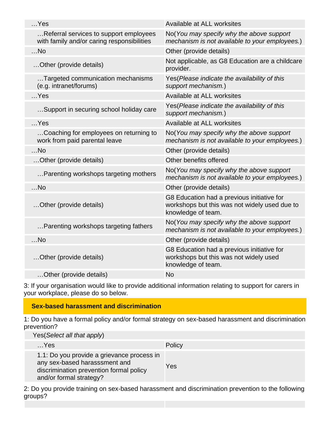| Available at ALL worksites                                                                                        |
|-------------------------------------------------------------------------------------------------------------------|
| No(You may specify why the above support<br>mechanism is not available to your employees.)                        |
| Other (provide details)                                                                                           |
| Not applicable, as G8 Education are a childcare<br>provider.                                                      |
| Yes (Please indicate the availability of this<br>support mechanism.)                                              |
| Available at ALL worksites                                                                                        |
| Yes(Please indicate the availability of this<br>support mechanism.)                                               |
| Available at ALL worksites                                                                                        |
| No(You may specify why the above support<br>mechanism is not available to your employees.)                        |
| Other (provide details)                                                                                           |
| Other benefits offered                                                                                            |
| No(You may specify why the above support<br>mechanism is not available to your employees.)                        |
| Other (provide details)                                                                                           |
| G8 Education had a previous initiative for<br>workshops but this was not widely used due to<br>knowledge of team. |
| No(You may specify why the above support<br>mechanism is not available to your employees.)                        |
| Other (provide details)                                                                                           |
| G8 Education had a previous initiative for<br>workshops but this was not widely used<br>knowledge of team.        |
| <b>No</b>                                                                                                         |
|                                                                                                                   |

3: If your organisation would like to provide additional information relating to support for carers in your workplace, please do so below.

### **Sex-based harassment and discrimination**

1: Do you have a formal policy and/or formal strategy on sex-based harassment and discrimination prevention?

Yes(Select all that apply)

| $$ Yes                                                                                                                                            | Policy |
|---------------------------------------------------------------------------------------------------------------------------------------------------|--------|
| 1.1: Do you provide a grievance process in<br>any sex-based harasssment and<br>discrimination prevention formal policy<br>and/or formal strategy? | Yes    |

2: Do you provide training on sex-based harassment and discrimination prevention to the following groups?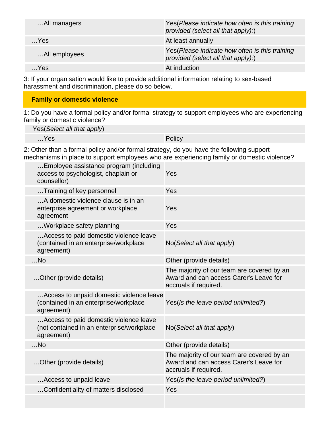| All managers   | Yes (Please indicate how often is this training<br>provided (select all that apply):) |
|----------------|---------------------------------------------------------------------------------------|
| $$ Yes         | At least annually                                                                     |
| All employees  | Yes (Please indicate how often is this training<br>provided (select all that apply):) |
| $\mathsf{Yes}$ | At induction                                                                          |

3: If your organisation would like to provide additional information relating to sex-based harassment and discrimination, please do so below.

### **Family or domestic violence**

1: Do you have a formal policy and/or formal strategy to support employees who are experiencing family or domestic violence?

Yes(Select all that apply)

…Yes Policy

2: Other than a formal policy and/or formal strategy, do you have the following support mechanisms in place to support employees who are experiencing family or domestic violence?

| Employee assistance program (including<br>access to psychologist, chaplain or<br>counsellor)      | Yes                                                                                                           |
|---------------------------------------------------------------------------------------------------|---------------------------------------------------------------------------------------------------------------|
| Training of key personnel                                                                         | Yes                                                                                                           |
| A domestic violence clause is in an<br>enterprise agreement or workplace<br>agreement             | Yes                                                                                                           |
| Workplace safety planning                                                                         | Yes                                                                                                           |
| Access to paid domestic violence leave<br>(contained in an enterprise/workplace<br>agreement)     | No(Select all that apply)                                                                                     |
| $$ No                                                                                             | Other (provide details)                                                                                       |
| Other (provide details)                                                                           | The majority of our team are covered by an<br>Award and can access Carer's Leave for<br>accruals if required. |
| Access to unpaid domestic violence leave<br>(contained in an enterprise/workplace<br>agreement)   | Yes(Is the leave period unlimited?)                                                                           |
| Access to paid domestic violence leave<br>(not contained in an enterprise/workplace<br>agreement) | No(Select all that apply)                                                                                     |
| $$ No                                                                                             | Other (provide details)                                                                                       |
| Other (provide details)                                                                           | The majority of our team are covered by an<br>Award and can access Carer's Leave for<br>accruals if required. |
| Access to unpaid leave                                                                            | Yes(Is the leave period unlimited?)                                                                           |
| Confidentiality of matters disclosed                                                              | Yes                                                                                                           |
|                                                                                                   |                                                                                                               |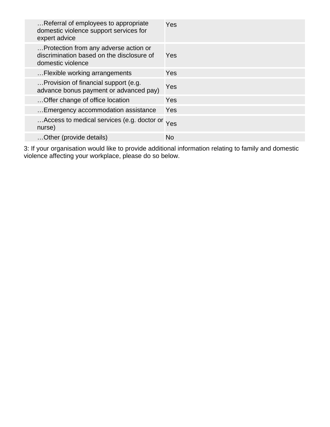| Referral of employees to appropriate<br>domestic violence support services for<br>expert advice         | Yes       |
|---------------------------------------------------------------------------------------------------------|-----------|
| Protection from any adverse action or<br>discrimination based on the disclosure of<br>domestic violence | Yes       |
| Flexible working arrangements                                                                           | Yes       |
| Provision of financial support (e.g.<br>advance bonus payment or advanced pay)                          | Yes       |
| Offer change of office location                                                                         | Yes       |
| Emergency accommodation assistance                                                                      | Yes       |
| Access to medical services (e.g. doctor or<br>nurse)                                                    | Yes       |
| Other (provide details)                                                                                 | <b>No</b> |

3: If your organisation would like to provide additional information relating to family and domestic violence affecting your workplace, please do so below.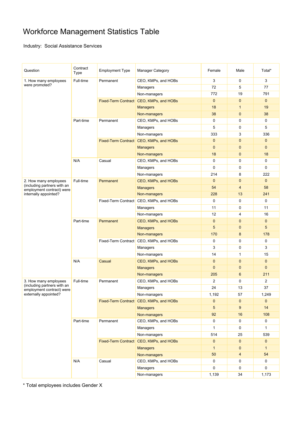### Workforce Management Statistics Table

Industry: Social Assistance Services

| Question                                             | Contract<br>Type | <b>Employment Type</b>                  | <b>Manager Category</b>                 | Female         | Male                     | Total*       |
|------------------------------------------------------|------------------|-----------------------------------------|-----------------------------------------|----------------|--------------------------|--------------|
| 1. How many employees                                | Full-time        | Permanent                               | CEO, KMPs, and HOBs                     | 3              | 0                        | 3            |
| were promoted?                                       |                  |                                         | Managers                                | 72             | 5                        | 77           |
|                                                      |                  |                                         | Non-managers                            | 772            | 19                       | 791          |
|                                                      |                  |                                         | Fixed-Term Contract CEO, KMPs, and HOBs | $\mathbf{0}$   | $\mathbf 0$              | $\mathbf{0}$ |
|                                                      |                  |                                         | <b>Managers</b>                         | 18             | $\mathbf{1}$             | 19           |
|                                                      |                  |                                         | Non-managers                            | 38             | $\mathbf{0}$             | 38           |
|                                                      | Part-time        | Permanent                               | CEO, KMPs, and HOBs                     | $\mathbf 0$    | 0                        | 0            |
|                                                      |                  |                                         | Managers                                | 5              | 0                        | 5            |
|                                                      |                  |                                         | Non-managers                            | 333            | 3                        | 336          |
|                                                      |                  |                                         | Fixed-Term Contract CEO, KMPs, and HOBs | $\mathbf{0}$   | $\mathbf{0}$             | $\mathbf{0}$ |
|                                                      |                  |                                         | <b>Managers</b>                         | $\mathbf{0}$   | $\mathbf{0}$             | $\mathbf{0}$ |
|                                                      |                  |                                         | Non-managers                            | 18             | $\mathbf{0}$             | 18           |
|                                                      | N/A              | Casual                                  | CEO, KMPs, and HOBs                     | 0              | 0                        | 0            |
|                                                      |                  |                                         | Managers                                | $\mathbf 0$    | 0                        | $\pmb{0}$    |
|                                                      |                  |                                         | Non-managers                            | 214            | 8                        | 222          |
| 2. How many employees                                | Full-time        | Permanent                               | CEO, KMPs, and HOBs                     | $\mathbf{0}$   | $\mathbf{0}$             | $\mathbf{0}$ |
| (including partners with an                          |                  |                                         | <b>Managers</b>                         | 54             | $\overline{\mathbf{4}}$  | 58           |
| employment contract) were<br>internally appointed?   |                  |                                         | Non-managers                            | 228            | 13                       | 241          |
|                                                      |                  |                                         | Fixed-Term Contract CEO, KMPs, and HOBs | 0              | 0                        | $\mathbf 0$  |
|                                                      |                  |                                         | Managers                                | 11             | 0                        | 11           |
|                                                      |                  |                                         | Non-managers                            | 12             | 4                        | 16           |
|                                                      | Part-time        | Permanent                               | CEO, KMPs, and HOBs                     | $\mathbf{0}$   | $\mathbf{0}$             | $\mathbf{0}$ |
|                                                      |                  |                                         | <b>Managers</b>                         | 5              | $\mathbf 0$              | 5            |
|                                                      |                  |                                         | Non-managers                            | 170            | 8                        | 178          |
|                                                      |                  | Fixed-Term Contract CEO, KMPs, and HOBs |                                         | $\mathbf 0$    | 0                        | 0            |
|                                                      |                  |                                         | Managers                                | 3              | 0                        | 3            |
|                                                      |                  |                                         | Non-managers                            | 14             | $\mathbf{1}$             | 15           |
|                                                      | N/A              | Casual                                  | CEO, KMPs, and HOBs                     | $\mathbf{0}$   | $\mathbf 0$              | $\mathbf{0}$ |
|                                                      |                  |                                         |                                         | $\mathbf{0}$   | $\mathbf 0$              | $\mathbf{0}$ |
|                                                      |                  |                                         | <b>Managers</b>                         | 205            | 6                        | 211          |
|                                                      |                  |                                         | Non-managers<br>CEO, KMPs, and HOBs     | $\overline{2}$ | 0                        |              |
| 3. How many employees<br>(including partners with an | Full-time        | Permanent                               |                                         |                |                          | 2            |
| employment contract) were                            |                  |                                         | Managers                                | 24             | 13                       | 37           |
| externally appointed?                                |                  |                                         | Non-managers                            | 1,192          | 57                       | 1,249        |
|                                                      |                  |                                         | Fixed-Term Contract CEO, KMPs, and HOBs | $\mathbf 0$    | $\mathbf 0$              | $\mathbf{0}$ |
|                                                      |                  |                                         | <b>Managers</b>                         | 5              | 9                        | 14           |
|                                                      |                  |                                         | Non-managers                            | 92             | 16                       | 108          |
|                                                      | Part-time        | Permanent                               | CEO, KMPs, and HOBs                     | 0              | 0                        | $\mathbf 0$  |
|                                                      |                  |                                         | Managers                                | $\mathbf{1}$   | 0                        | $\mathbf{1}$ |
|                                                      |                  |                                         | Non-managers                            | 514            | 25                       | 539          |
|                                                      |                  | Fixed-Term Contract CEO, KMPs, and HOBs |                                         | $\mathbf{0}$   | $\mathbf 0$              | $\mathbf{0}$ |
|                                                      |                  |                                         | <b>Managers</b>                         | $\mathbf{1}$   | $\mathbf 0$              | $\mathbf{1}$ |
|                                                      |                  |                                         | Non-managers                            | 50             | $\overline{\mathcal{A}}$ | 54           |
|                                                      | N/A              | Casual                                  | CEO, KMPs, and HOBs                     | 0              | 0                        | 0            |
|                                                      |                  |                                         | Managers                                | 0              | 0                        | 0            |
|                                                      |                  |                                         | Non-managers                            | 1,139          | 34                       | 1,173        |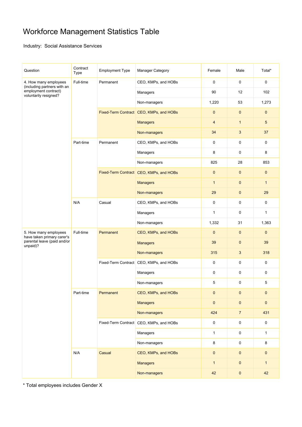### Workforce Management Statistics Table

Industry: Social Assistance Services

| Question                                                                                              | Contract<br>Type | <b>Employment Type</b> | Manager Category                        | Female           | Male           | Total*       |
|-------------------------------------------------------------------------------------------------------|------------------|------------------------|-----------------------------------------|------------------|----------------|--------------|
| 4. How many employees<br>(including partners with an<br>employment contract)<br>voluntarily resigned? | Full-time        | Permanent              | CEO, KMPs, and HOBs                     | $\boldsymbol{0}$ | 0              | 0            |
|                                                                                                       |                  |                        | Managers                                | 90               | 12             | 102          |
|                                                                                                       |                  |                        | Non-managers                            | 1,220            | 53             | 1,273        |
|                                                                                                       |                  |                        | Fixed-Term Contract CEO, KMPs, and HOBs | $\mathbf{0}$     | $\mathbf 0$    | 0            |
|                                                                                                       |                  |                        | <b>Managers</b>                         | $\overline{4}$   | $\mathbf{1}$   | 5            |
|                                                                                                       |                  |                        | Non-managers                            | 34               | 3              | 37           |
|                                                                                                       | Part-time        | Permanent              | CEO, KMPs, and HOBs                     | 0                | 0              | 0            |
|                                                                                                       |                  |                        | Managers                                | 8                | 0              | 8            |
|                                                                                                       |                  |                        | Non-managers                            | 825              | 28             | 853          |
|                                                                                                       |                  |                        | Fixed-Term Contract CEO, KMPs, and HOBs | $\mathbf{0}$     | $\mathbf{0}$   | 0            |
|                                                                                                       |                  |                        | <b>Managers</b>                         | $\mathbf{1}$     | $\mathbf 0$    | $\mathbf{1}$ |
|                                                                                                       |                  |                        | Non-managers                            | 29               | $\mathbf 0$    | 29           |
|                                                                                                       | N/A              | Casual                 | CEO, KMPs, and HOBs                     | $\mathbf 0$      | $\mathbf 0$    | 0            |
|                                                                                                       |                  |                        | Managers                                | $\mathbf{1}$     | 0              | $\mathbf{1}$ |
|                                                                                                       |                  |                        | Non-managers                            | 1,332            | 31             | 1,363        |
| 5. How many employees<br>have taken primary carer's                                                   | Full-time        | Permanent              | CEO, KMPs, and HOBs                     | $\mathbf{0}$     | $\mathbf 0$    | $\mathbf 0$  |
| parental leave (paid and/or<br>unpaid)?                                                               |                  |                        | <b>Managers</b>                         | 39               | $\mathbf{0}$   | 39           |
|                                                                                                       |                  |                        | Non-managers                            | 315              | 3              | 318          |
|                                                                                                       |                  |                        | Fixed-Term Contract CEO, KMPs, and HOBs | $\boldsymbol{0}$ | 0              | 0            |
|                                                                                                       |                  |                        | Managers                                | $\mathbf 0$      | 0              | 0            |
|                                                                                                       |                  |                        | Non-managers                            | 5                | 0              | 5            |
|                                                                                                       | Part-time        | Permanent              | CEO, KMPs, and HOBs                     | $\mathbf 0$      | $\pmb{0}$      | 0            |
|                                                                                                       |                  |                        | <b>Managers</b>                         | $\pmb{0}$        | $\pmb{0}$      | $\pmb{0}$    |
|                                                                                                       |                  |                        | Non-managers                            | 424              | $\overline{7}$ | 431          |
|                                                                                                       |                  |                        | Fixed-Term Contract CEO, KMPs, and HOBs | $\mathbf 0$      | $\mathbf 0$    | $\mathsf 0$  |
|                                                                                                       |                  |                        | Managers                                | $\mathbf{1}$     | $\pmb{0}$      | $\mathbf{1}$ |
|                                                                                                       |                  |                        | Non-managers                            | 8                | $\mathbf 0$    | 8            |
|                                                                                                       | N/A              | Casual                 | CEO, KMPs, and HOBs                     | $\pmb{0}$        | $\pmb{0}$      | $\pmb{0}$    |
|                                                                                                       |                  |                        | <b>Managers</b>                         | $\mathbf{1}$     | $\pmb{0}$      | $\mathbf{1}$ |
|                                                                                                       |                  |                        | Non-managers                            | 42               | $\pmb{0}$      | 42           |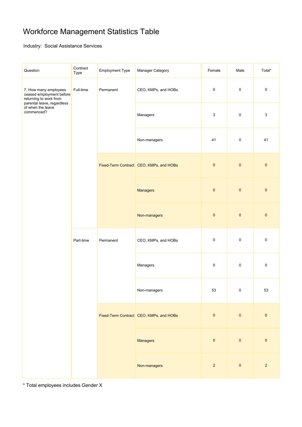### Workforce Management Statistics Table

Industry: Social Assistance Services

| Question                                                                                                                                     | Contract<br>Type       | <b>Employment Type</b> | Manager Category                        | Female         | Male        | Total*         |
|----------------------------------------------------------------------------------------------------------------------------------------------|------------------------|------------------------|-----------------------------------------|----------------|-------------|----------------|
| 7. How many employees<br>ceased employment before<br>returning to work from<br>parental leave, regardless<br>of when the leave<br>commenced? | Full-time              | Permanent              | CEO, KMPs, and HOBs                     | $\pmb{0}$      | $\pmb{0}$   | $\pmb{0}$      |
|                                                                                                                                              |                        |                        | Managers                                | 3              | $\pmb{0}$   | $\mathsf 3$    |
|                                                                                                                                              |                        |                        | Non-managers                            | 41             | $\pmb{0}$   | 41             |
|                                                                                                                                              |                        |                        | Fixed-Term Contract CEO, KMPs, and HOBs | $\pmb{0}$      | $\pmb{0}$   | $\pmb{0}$      |
|                                                                                                                                              |                        |                        | <b>Managers</b>                         | $\pmb{0}$      | $\pmb{0}$   | $\pmb{0}$      |
|                                                                                                                                              |                        |                        | Non-managers                            | $\pmb{0}$      | $\pmb{0}$   | $\pmb{0}$      |
|                                                                                                                                              | Part-time<br>Permanent |                        | CEO, KMPs, and HOBs                     | $\pmb{0}$      | $\pmb{0}$   | $\pmb{0}$      |
|                                                                                                                                              |                        |                        | Managers                                | $\pmb{0}$      | $\pmb{0}$   | $\pmb{0}$      |
|                                                                                                                                              |                        |                        | Non-managers                            | 53             | $\mathbf 0$ | 53             |
|                                                                                                                                              |                        |                        | Fixed-Term Contract CEO, KMPs, and HOBs | $\pmb{0}$      | $\pmb{0}$   | $\pmb{0}$      |
|                                                                                                                                              |                        |                        | <b>Managers</b>                         | $\pmb{0}$      | $\pmb{0}$   | $\pmb{0}$      |
|                                                                                                                                              |                        |                        | Non-managers                            | $\overline{2}$ | $\pmb{0}$   | $\overline{2}$ |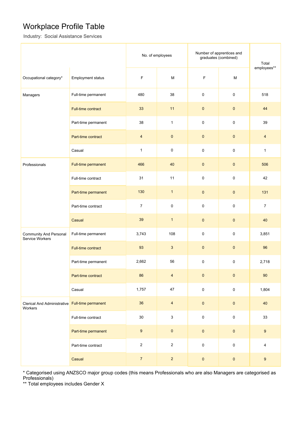### Workplace Profile Table

Industry: Social Assistance Services

|                                                  |                          | No. of employees |                           | Number of apprentices and<br>graduates (combined) | Total               |                |
|--------------------------------------------------|--------------------------|------------------|---------------------------|---------------------------------------------------|---------------------|----------------|
| Occupational category*                           | <b>Employment status</b> | F                | M                         | F                                                 | M                   | employees**    |
| Managers                                         | Full-time permanent      | 480              | 38                        | $\pmb{0}$                                         | $\pmb{0}$           | 518            |
|                                                  | Full-time contract       | 33               | 11                        | $\pmb{0}$                                         | $\pmb{0}$           | 44             |
|                                                  | Part-time permanent      | 38               | $\mathbf{1}$              | 0                                                 | $\pmb{0}$           | 39             |
|                                                  | Part-time contract       | 4                | $\pmb{0}$                 | $\mathbf 0$                                       | $\pmb{0}$           | $\overline{4}$ |
|                                                  | Casual                   | 1                | $\pmb{0}$                 | 0                                                 | $\pmb{0}$           | $\mathbf{1}$   |
| Professionals                                    | Full-time permanent      | 466              | 40                        | $\mathbf 0$                                       | $\pmb{0}$           | 506            |
|                                                  | Full-time contract       | 31               | 11                        | $\pmb{0}$                                         | $\pmb{0}$           | 42             |
|                                                  | Part-time permanent      | 130              | $\mathbf{1}$              | $\pmb{0}$                                         | $\pmb{0}$           | 131            |
|                                                  | Part-time contract       | $\overline{7}$   | $\pmb{0}$                 | $\pmb{0}$                                         | $\pmb{0}$           | $\overline{7}$ |
|                                                  | Casual                   | 39               | $\mathbf{1}$              | $\pmb{0}$                                         | $\pmb{0}$           | 40             |
| <b>Community And Personal</b><br>Service Workers | Full-time permanent      | 3,743            | 108                       | 0                                                 | 0                   | 3,851          |
|                                                  | Full-time contract       | 93               | $\mathbf{3}$              | $\mathbf 0$                                       | $\pmb{0}$           | 96             |
|                                                  | Part-time permanent      | 2,662            | 56                        | 0                                                 | 0                   | 2,718          |
|                                                  | Part-time contract       | 86               | $\overline{\mathbf{4}}$   | $\pmb{0}$                                         | $\pmb{0}$           | $90\,$         |
|                                                  | Casual                   | 1,757            | 47                        | $\pmb{0}$                                         | $\mathsf 0$         | 1,804          |
| <b>Clerical And Administrative</b><br>Workers    | Full-time permanent      | 36               | $\overline{\mathbf{4}}$   | $\pmb{0}$                                         | $\pmb{0}$           | 40             |
|                                                  | Full-time contract       | $30\,$           | $\ensuremath{\mathsf{3}}$ | $\pmb{0}$                                         | $\mathsf{O}\xspace$ | 33             |
|                                                  | Part-time permanent      | $\boldsymbol{9}$ | $\pmb{0}$                 | $\pmb{0}$                                         | $\pmb{0}$           | 9              |
|                                                  | Part-time contract       | $\sqrt{2}$       | $\overline{2}$            | $\pmb{0}$                                         | $\mathsf 0$         | 4              |
|                                                  | Casual                   | $\boldsymbol{7}$ | $\sqrt{2}$                | $\pmb{0}$                                         | $\pmb{0}$           | 9              |

\* Categorised using ANZSCO major group codes (this means Professionals who are also Managers are categorised as Professionals)